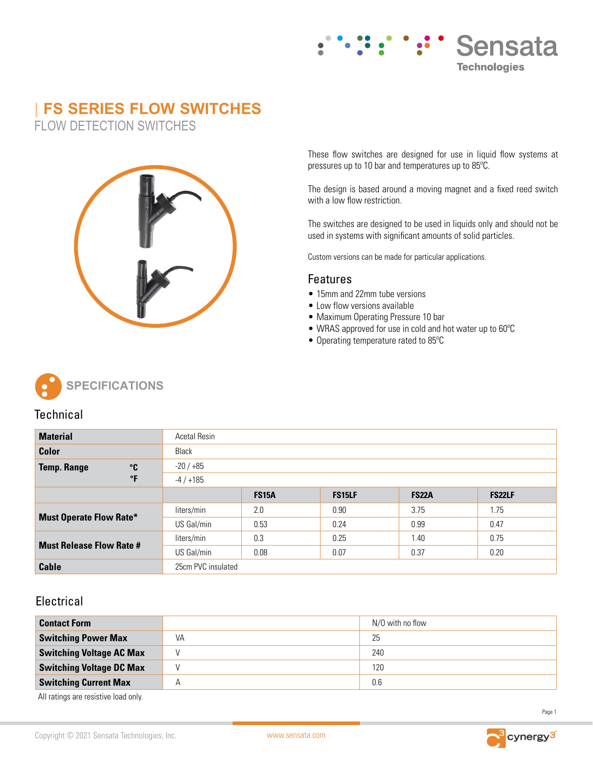

# **| FS SERIES FLOW SWITCHES**

FLOW DETECTION SWITCHES



These flow switches are designed for use in liquid flow systems at pressures up to 10 bar and temperatures up to 85ºC.

The design is based around a moving magnet and a fixed reed switch with a low flow restriction.

The switches are designed to be used in liquids only and should not be used in systems with significant amounts of solid particles.

Custom versions can be made for particular applications.

### Features

- 15mm and 22mm tube versions
- Low flow versions available
- Maximum Operating Pressure 10 bar
- WRAS approved for use in cold and hot water up to 60ºC
- Operating temperature rated to 85ºC



## **Technical**

| <b>Material</b>                            |           | <b>Acetal Resin</b> |              |               |              |               |
|--------------------------------------------|-----------|---------------------|--------------|---------------|--------------|---------------|
| Color                                      |           | Black               |              |               |              |               |
| $\circ$ <sub>C</sub><br><b>Temp. Range</b> |           | $-20/+85$           |              |               |              |               |
|                                            | $\circ$ F | $-4/+185$           |              |               |              |               |
|                                            |           |                     | <b>FS15A</b> | <b>FS15LF</b> | <b>FS22A</b> | <b>FS22LF</b> |
| <b>Must Operate Flow Rate*</b>             |           | liters/min          | 2.0          | 0.90          | 3.75         | 1.75          |
|                                            |           | US Gal/min          | 0.53         | 0.24          | 0.99         | 0.47          |
| <b>Must Release Flow Rate #</b>            |           | liters/min          | 0.3          | 0.25          | 1.40         | 0.75          |
|                                            |           | US Gal/min          | 0.08         | 0.07          | 0.37         | 0.20          |
| <b>Cable</b>                               |           | 25cm PVC insulated  |              |               |              |               |

# **Electrical**

| <b>Contact Form</b>             |                         | N/O with no flow |
|---------------------------------|-------------------------|------------------|
| <b>Switching Power Max</b>      | VA                      | 25               |
| <b>Switching Voltage AC Max</b> |                         | 240              |
| <b>Switching Voltage DC Max</b> |                         | 120              |
| <b>Switching Current Max</b>    | $\overline{\mathsf{A}}$ | 0.6              |

All ratings are resistive load only.